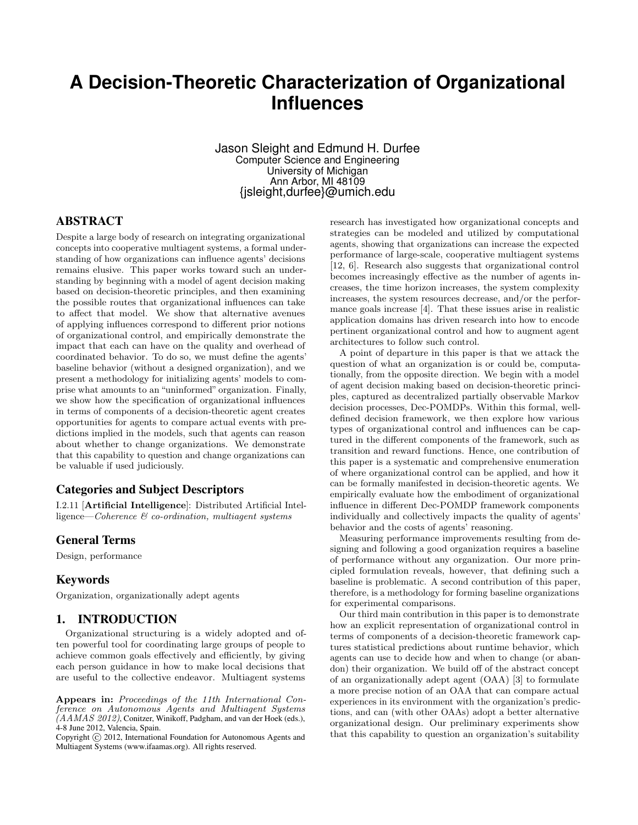# **A Decision-Theoretic Characterization of Organizational Influences**

Jason Sleight and Edmund H. Durfee Computer Science and Engineering University of Michigan Ann Arbor, MI 48109 {jsleight,durfee}@umich.edu

# ABSTRACT

Despite a large body of research on integrating organizational concepts into cooperative multiagent systems, a formal understanding of how organizations can influence agents' decisions remains elusive. This paper works toward such an understanding by beginning with a model of agent decision making based on decision-theoretic principles, and then examining the possible routes that organizational influences can take to affect that model. We show that alternative avenues of applying influences correspond to different prior notions of organizational control, and empirically demonstrate the impact that each can have on the quality and overhead of coordinated behavior. To do so, we must define the agents' baseline behavior (without a designed organization), and we present a methodology for initializing agents' models to comprise what amounts to an "uninformed" organization. Finally, we show how the specification of organizational influences in terms of components of a decision-theoretic agent creates opportunities for agents to compare actual events with predictions implied in the models, such that agents can reason about whether to change organizations. We demonstrate that this capability to question and change organizations can be valuable if used judiciously.

## Categories and Subject Descriptors

I.2.11 [Artificial Intelligence]: Distributed Artificial Intelligence—Coherence & co-ordination, multiagent systems

## General Terms

Design, performance

## Keywords

Organization, organizationally adept agents

# 1. INTRODUCTION

Organizational structuring is a widely adopted and often powerful tool for coordinating large groups of people to achieve common goals effectively and efficiently, by giving each person guidance in how to make local decisions that are useful to the collective endeavor. Multiagent systems

research has investigated how organizational concepts and strategies can be modeled and utilized by computational agents, showing that organizations can increase the expected performance of large-scale, cooperative multiagent systems [12, 6]. Research also suggests that organizational control becomes increasingly effective as the number of agents increases, the time horizon increases, the system complexity increases, the system resources decrease, and/or the performance goals increase [4]. That these issues arise in realistic application domains has driven research into how to encode pertinent organizational control and how to augment agent architectures to follow such control.

A point of departure in this paper is that we attack the question of what an organization is or could be, computationally, from the opposite direction. We begin with a model of agent decision making based on decision-theoretic principles, captured as decentralized partially observable Markov decision processes, Dec-POMDPs. Within this formal, welldefined decision framework, we then explore how various types of organizational control and influences can be captured in the different components of the framework, such as transition and reward functions. Hence, one contribution of this paper is a systematic and comprehensive enumeration of where organizational control can be applied, and how it can be formally manifested in decision-theoretic agents. We empirically evaluate how the embodiment of organizational influence in different Dec-POMDP framework components individually and collectively impacts the quality of agents' behavior and the costs of agents' reasoning.

Measuring performance improvements resulting from designing and following a good organization requires a baseline of performance without any organization. Our more principled formulation reveals, however, that defining such a baseline is problematic. A second contribution of this paper, therefore, is a methodology for forming baseline organizations for experimental comparisons.

Our third main contribution in this paper is to demonstrate how an explicit representation of organizational control in terms of components of a decision-theoretic framework captures statistical predictions about runtime behavior, which agents can use to decide how and when to change (or abandon) their organization. We build off of the abstract concept of an organizationally adept agent (OAA) [3] to formulate a more precise notion of an OAA that can compare actual experiences in its environment with the organization's predictions, and can (with other OAAs) adopt a better alternative organizational design. Our preliminary experiments show that this capability to question an organization's suitability

Appears in: Proceedings of the 11th International Conference on Autonomous Agents and Multiagent Systems (AAMAS 2012), Conitzer, Winikoff, Padgham, and van der Hoek (eds.), 4-8 June 2012, Valencia, Spain.

Copyright (C) 2012, International Foundation for Autonomous Agents and Multiagent Systems (www.ifaamas.org). All rights reserved.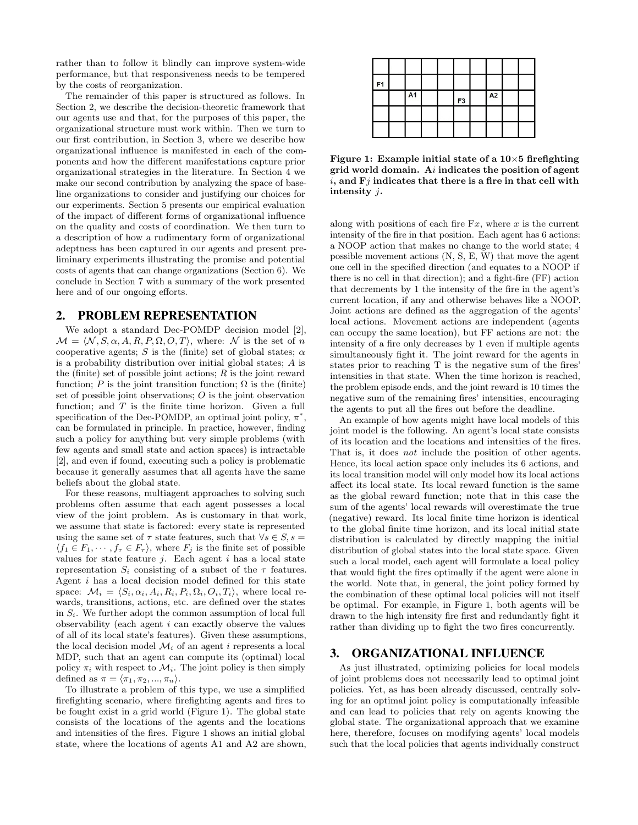rather than to follow it blindly can improve system-wide performance, but that responsiveness needs to be tempered by the costs of reorganization.

The remainder of this paper is structured as follows. In Section 2, we describe the decision-theoretic framework that our agents use and that, for the purposes of this paper, the organizational structure must work within. Then we turn to our first contribution, in Section 3, where we describe how organizational influence is manifested in each of the components and how the different manifestations capture prior organizational strategies in the literature. In Section 4 we make our second contribution by analyzing the space of baseline organizations to consider and justifying our choices for our experiments. Section 5 presents our empirical evaluation of the impact of different forms of organizational influence on the quality and costs of coordination. We then turn to a description of how a rudimentary form of organizational adeptness has been captured in our agents and present preliminary experiments illustrating the promise and potential costs of agents that can change organizations (Section 6). We conclude in Section 7 with a summary of the work presented here and of our ongoing efforts.

## 2. PROBLEM REPRESENTATION

We adopt a standard Dec-POMDP decision model [2],  $\mathcal{M} = \langle \mathcal{N}, S, \alpha, A, R, P, \Omega, O, T \rangle$ , where: N is the set of n cooperative agents; S is the (finite) set of global states;  $\alpha$ is a probability distribution over initial global states; A is the (finite) set of possible joint actions;  $R$  is the joint reward function; P is the joint transition function;  $\Omega$  is the (finite) set of possible joint observations; O is the joint observation function; and  $T$  is the finite time horizon. Given a full specification of the Dec-POMDP, an optimal joint policy,  $\pi^*$ , can be formulated in principle. In practice, however, finding such a policy for anything but very simple problems (with few agents and small state and action spaces) is intractable [2], and even if found, executing such a policy is problematic because it generally assumes that all agents have the same beliefs about the global state.

For these reasons, multiagent approaches to solving such problems often assume that each agent possesses a local view of the joint problem. As is customary in that work, we assume that state is factored: every state is represented using the same set of  $\tau$  state features, such that  $\forall s \in S, s =$  $\langle f_1 \in F_1, \cdots, f_\tau \in F_\tau \rangle$ , where  $F_j$  is the finite set of possible values for state feature  $j$ . Each agent  $i$  has a local state representation  $S_i$  consisting of a subset of the  $\tau$  features. Agent i has a local decision model defined for this state space:  $\mathcal{M}_i = \langle S_i, \alpha_i, A_i, R_i, P_i, \Omega_i, O_i, T_i \rangle$ , where local rewards, transitions, actions, etc. are defined over the states in  $S_i$ . We further adopt the common assumption of local full observability (each agent  $i$  can exactly observe the values of all of its local state's features). Given these assumptions, the local decision model  $\mathcal{M}_i$  of an agent i represents a local MDP, such that an agent can compute its (optimal) local policy  $\pi_i$  with respect to  $\mathcal{M}_i$ . The joint policy is then simply defined as  $\pi = \langle \pi_1, \pi_2, ..., \pi_n \rangle$ .

To illustrate a problem of this type, we use a simplified firefighting scenario, where firefighting agents and fires to be fought exist in a grid world (Figure 1). The global state consists of the locations of the agents and the locations and intensities of the fires. Figure 1 shows an initial global state, where the locations of agents A1 and A2 are shown,

| F <sub>1</sub> |           |  |                |    |  |
|----------------|-----------|--|----------------|----|--|
|                | <b>A1</b> |  | F <sub>3</sub> | A2 |  |
|                |           |  |                |    |  |
|                |           |  |                |    |  |

Figure 1: Example initial state of a  $10\times 5$  firefighting grid world domain. Ai indicates the position of agent  $i$ , and  $Fj$  indicates that there is a fire in that cell with intensity j.

along with positions of each fire  $Fx$ , where x is the current intensity of the fire in that position. Each agent has 6 actions: a NOOP action that makes no change to the world state; 4 possible movement actions (N, S, E, W) that move the agent one cell in the specified direction (and equates to a NOOP if there is no cell in that direction); and a fight-fire (FF) action that decrements by 1 the intensity of the fire in the agent's current location, if any and otherwise behaves like a NOOP. Joint actions are defined as the aggregation of the agents' local actions. Movement actions are independent (agents can occupy the same location), but FF actions are not: the intensity of a fire only decreases by 1 even if multiple agents simultaneously fight it. The joint reward for the agents in states prior to reaching T is the negative sum of the fires' intensities in that state. When the time horizon is reached, the problem episode ends, and the joint reward is 10 times the negative sum of the remaining fires' intensities, encouraging the agents to put all the fires out before the deadline.

An example of how agents might have local models of this joint model is the following. An agent's local state consists of its location and the locations and intensities of the fires. That is, it does not include the position of other agents. Hence, its local action space only includes its 6 actions, and its local transition model will only model how its local actions affect its local state. Its local reward function is the same as the global reward function; note that in this case the sum of the agents' local rewards will overestimate the true (negative) reward. Its local finite time horizon is identical to the global finite time horizon, and its local initial state distribution is calculated by directly mapping the initial distribution of global states into the local state space. Given such a local model, each agent will formulate a local policy that would fight the fires optimally if the agent were alone in the world. Note that, in general, the joint policy formed by the combination of these optimal local policies will not itself be optimal. For example, in Figure 1, both agents will be drawn to the high intensity fire first and redundantly fight it rather than dividing up to fight the two fires concurrently.

## 3. ORGANIZATIONAL INFLUENCE

As just illustrated, optimizing policies for local models of joint problems does not necessarily lead to optimal joint policies. Yet, as has been already discussed, centrally solving for an optimal joint policy is computationally infeasible and can lead to policies that rely on agents knowing the global state. The organizational approach that we examine here, therefore, focuses on modifying agents' local models such that the local policies that agents individually construct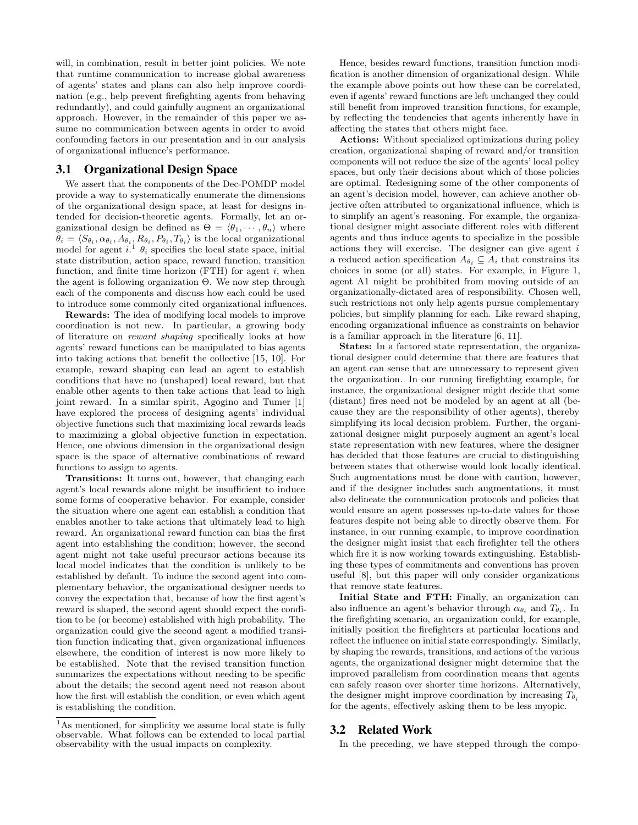will, in combination, result in better joint policies. We note that runtime communication to increase global awareness of agents' states and plans can also help improve coordination (e.g., help prevent firefighting agents from behaving redundantly), and could gainfully augment an organizational approach. However, in the remainder of this paper we assume no communication between agents in order to avoid confounding factors in our presentation and in our analysis of organizational influence's performance.

#### 3.1 Organizational Design Space

We assert that the components of the Dec-POMDP model provide a way to systematically enumerate the dimensions of the organizational design space, at least for designs intended for decision-theoretic agents. Formally, let an organizational design be defined as  $\Theta = \langle \theta_1, \cdots, \theta_n \rangle$  where  $\theta_i = \langle S_{\theta_i}, \alpha_{\theta_i}, A_{\theta_i}, R_{\theta_i}, P_{\theta_i}, T_{\theta_i} \rangle$  is the local organizational model for agent  $i.$ <sup>1</sup>  $\theta_i$  specifies the local state space, initial state distribution, action space, reward function, transition function, and finite time horizon  $(FTH)$  for agent i, when the agent is following organization Θ. We now step through each of the components and discuss how each could be used to introduce some commonly cited organizational influences.

Rewards: The idea of modifying local models to improve coordination is not new. In particular, a growing body of literature on reward shaping specifically looks at how agents' reward functions can be manipulated to bias agents into taking actions that benefit the collective [15, 10]. For example, reward shaping can lead an agent to establish conditions that have no (unshaped) local reward, but that enable other agents to then take actions that lead to high joint reward. In a similar spirit, Agogino and Tumer [1] have explored the process of designing agents' individual objective functions such that maximizing local rewards leads to maximizing a global objective function in expectation. Hence, one obvious dimension in the organizational design space is the space of alternative combinations of reward functions to assign to agents.

Transitions: It turns out, however, that changing each agent's local rewards alone might be insufficient to induce some forms of cooperative behavior. For example, consider the situation where one agent can establish a condition that enables another to take actions that ultimately lead to high reward. An organizational reward function can bias the first agent into establishing the condition; however, the second agent might not take useful precursor actions because its local model indicates that the condition is unlikely to be established by default. To induce the second agent into complementary behavior, the organizational designer needs to convey the expectation that, because of how the first agent's reward is shaped, the second agent should expect the condition to be (or become) established with high probability. The organization could give the second agent a modified transition function indicating that, given organizational influences elsewhere, the condition of interest is now more likely to be established. Note that the revised transition function summarizes the expectations without needing to be specific about the details; the second agent need not reason about how the first will establish the condition, or even which agent is establishing the condition.

Hence, besides reward functions, transition function modification is another dimension of organizational design. While the example above points out how these can be correlated, even if agents' reward functions are left unchanged they could still benefit from improved transition functions, for example, by reflecting the tendencies that agents inherently have in affecting the states that others might face.

Actions: Without specialized optimizations during policy creation, organizational shaping of reward and/or transition components will not reduce the size of the agents' local policy spaces, but only their decisions about which of those policies are optimal. Redesigning some of the other components of an agent's decision model, however, can achieve another objective often attributed to organizational influence, which is to simplify an agent's reasoning. For example, the organizational designer might associate different roles with different agents and thus induce agents to specialize in the possible actions they will exercise. The designer can give agent i a reduced action specification  $A_{\theta_i} \subseteq A_i$  that constrains its choices in some (or all) states. For example, in Figure 1, agent A1 might be prohibited from moving outside of an organizationally-dictated area of responsibility. Chosen well, such restrictions not only help agents pursue complementary policies, but simplify planning for each. Like reward shaping, encoding organizational influence as constraints on behavior is a familiar approach in the literature [6, 11].

States: In a factored state representation, the organizational designer could determine that there are features that an agent can sense that are unnecessary to represent given the organization. In our running firefighting example, for instance, the organizational designer might decide that some (distant) fires need not be modeled by an agent at all (because they are the responsibility of other agents), thereby simplifying its local decision problem. Further, the organizational designer might purposely augment an agent's local state representation with new features, where the designer has decided that those features are crucial to distinguishing between states that otherwise would look locally identical. Such augmentations must be done with caution, however, and if the designer includes such augmentations, it must also delineate the communication protocols and policies that would ensure an agent possesses up-to-date values for those features despite not being able to directly observe them. For instance, in our running example, to improve coordination the designer might insist that each firefighter tell the others which fire it is now working towards extinguishing. Establishing these types of commitments and conventions has proven useful [8], but this paper will only consider organizations that remove state features.

Initial State and FTH: Finally, an organization can also influence an agent's behavior through  $\alpha_{\theta_i}$  and  $T_{\theta_i}$ . In the firefighting scenario, an organization could, for example, initially position the firefighters at particular locations and reflect the influence on initial state correspondingly. Similarly, by shaping the rewards, transitions, and actions of the various agents, the organizational designer might determine that the improved parallelism from coordination means that agents can safely reason over shorter time horizons. Alternatively, the designer might improve coordination by increasing  $T_{\theta_i}$ for the agents, effectively asking them to be less myopic.

## 3.2 Related Work

In the preceding, we have stepped through the compo-

<sup>&</sup>lt;sup>1</sup>As mentioned, for simplicity we assume local state is fully observable. What follows can be extended to local partial observability with the usual impacts on complexity.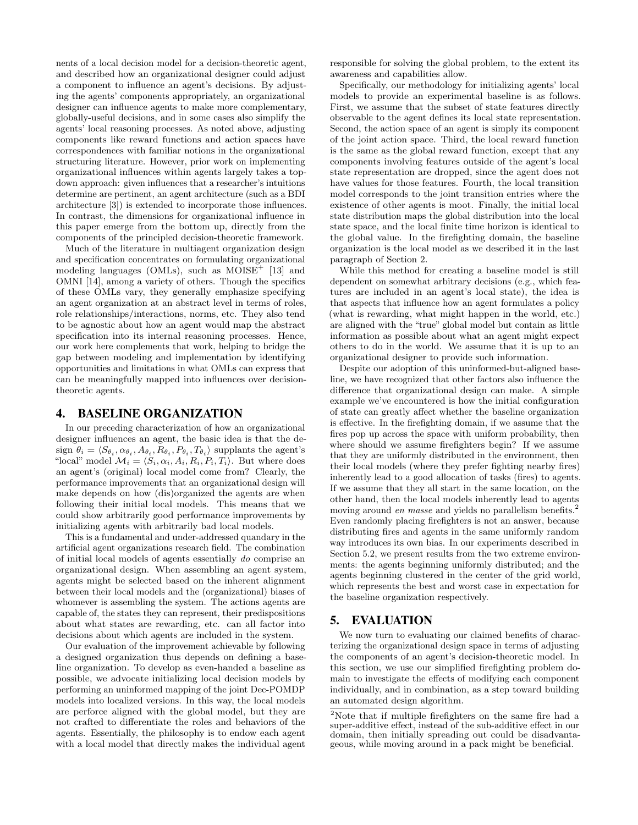nents of a local decision model for a decision-theoretic agent, and described how an organizational designer could adjust a component to influence an agent's decisions. By adjusting the agents' components appropriately, an organizational designer can influence agents to make more complementary, globally-useful decisions, and in some cases also simplify the agents' local reasoning processes. As noted above, adjusting components like reward functions and action spaces have correspondences with familiar notions in the organizational structuring literature. However, prior work on implementing organizational influences within agents largely takes a topdown approach: given influences that a researcher's intuitions determine are pertinent, an agent architecture (such as a BDI architecture [3]) is extended to incorporate those influences. In contrast, the dimensions for organizational influence in this paper emerge from the bottom up, directly from the components of the principled decision-theoretic framework.

Much of the literature in multiagent organization design and specification concentrates on formulating organizational modeling languages (OMLs), such as  $MOISE<sup>+</sup>$  [13] and OMNI [14], among a variety of others. Though the specifics of these OMLs vary, they generally emphasize specifying an agent organization at an abstract level in terms of roles, role relationships/interactions, norms, etc. They also tend to be agnostic about how an agent would map the abstract specification into its internal reasoning processes. Hence, our work here complements that work, helping to bridge the gap between modeling and implementation by identifying opportunities and limitations in what OMLs can express that can be meaningfully mapped into influences over decisiontheoretic agents.

## 4. BASELINE ORGANIZATION

In our preceding characterization of how an organizational designer influences an agent, the basic idea is that the design  $\theta_i = \langle S_{\theta_i}, \alpha_{\theta_i}, A_{\theta_i}, R_{\theta_i}, P_{\theta_i}, T_{\theta_i} \rangle$  supplants the agent's "local" model  $\mathcal{M}_i = \langle S_i, \alpha_i, A_i, R_i, P_i, T_i \rangle$ . But where does an agent's (original) local model come from? Clearly, the performance improvements that an organizational design will make depends on how (dis)organized the agents are when following their initial local models. This means that we could show arbitrarily good performance improvements by initializing agents with arbitrarily bad local models.

This is a fundamental and under-addressed quandary in the artificial agent organizations research field. The combination of initial local models of agents essentially do comprise an organizational design. When assembling an agent system, agents might be selected based on the inherent alignment between their local models and the (organizational) biases of whomever is assembling the system. The actions agents are capable of, the states they can represent, their predispositions about what states are rewarding, etc. can all factor into decisions about which agents are included in the system.

Our evaluation of the improvement achievable by following a designed organization thus depends on defining a baseline organization. To develop as even-handed a baseline as possible, we advocate initializing local decision models by performing an uninformed mapping of the joint Dec-POMDP models into localized versions. In this way, the local models are perforce aligned with the global model, but they are not crafted to differentiate the roles and behaviors of the agents. Essentially, the philosophy is to endow each agent with a local model that directly makes the individual agent

responsible for solving the global problem, to the extent its awareness and capabilities allow.

Specifically, our methodology for initializing agents' local models to provide an experimental baseline is as follows. First, we assume that the subset of state features directly observable to the agent defines its local state representation. Second, the action space of an agent is simply its component of the joint action space. Third, the local reward function is the same as the global reward function, except that any components involving features outside of the agent's local state representation are dropped, since the agent does not have values for those features. Fourth, the local transition model corresponds to the joint transition entries where the existence of other agents is moot. Finally, the initial local state distribution maps the global distribution into the local state space, and the local finite time horizon is identical to the global value. In the firefighting domain, the baseline organization is the local model as we described it in the last paragraph of Section 2.

While this method for creating a baseline model is still dependent on somewhat arbitrary decisions (e.g., which features are included in an agent's local state), the idea is that aspects that influence how an agent formulates a policy (what is rewarding, what might happen in the world, etc.) are aligned with the "true" global model but contain as little information as possible about what an agent might expect others to do in the world. We assume that it is up to an organizational designer to provide such information.

Despite our adoption of this uninformed-but-aligned baseline, we have recognized that other factors also influence the difference that organizational design can make. A simple example we've encountered is how the initial configuration of state can greatly affect whether the baseline organization is effective. In the firefighting domain, if we assume that the fires pop up across the space with uniform probability, then where should we assume firefighters begin? If we assume that they are uniformly distributed in the environment, then their local models (where they prefer fighting nearby fires) inherently lead to a good allocation of tasks (fires) to agents. If we assume that they all start in the same location, on the other hand, then the local models inherently lead to agents moving around en masse and yields no parallelism benefits.<sup>2</sup> Even randomly placing firefighters is not an answer, because distributing fires and agents in the same uniformly random way introduces its own bias. In our experiments described in Section 5.2, we present results from the two extreme environments: the agents beginning uniformly distributed; and the agents beginning clustered in the center of the grid world, which represents the best and worst case in expectation for the baseline organization respectively.

## 5. EVALUATION

We now turn to evaluating our claimed benefits of characterizing the organizational design space in terms of adjusting the components of an agent's decision-theoretic model. In this section, we use our simplified firefighting problem domain to investigate the effects of modifying each component individually, and in combination, as a step toward building an automated design algorithm.

<sup>&</sup>lt;sup>2</sup>Note that if multiple firefighters on the same fire had a super-additive effect, instead of the sub-additive effect in our domain, then initially spreading out could be disadvantageous, while moving around in a pack might be beneficial.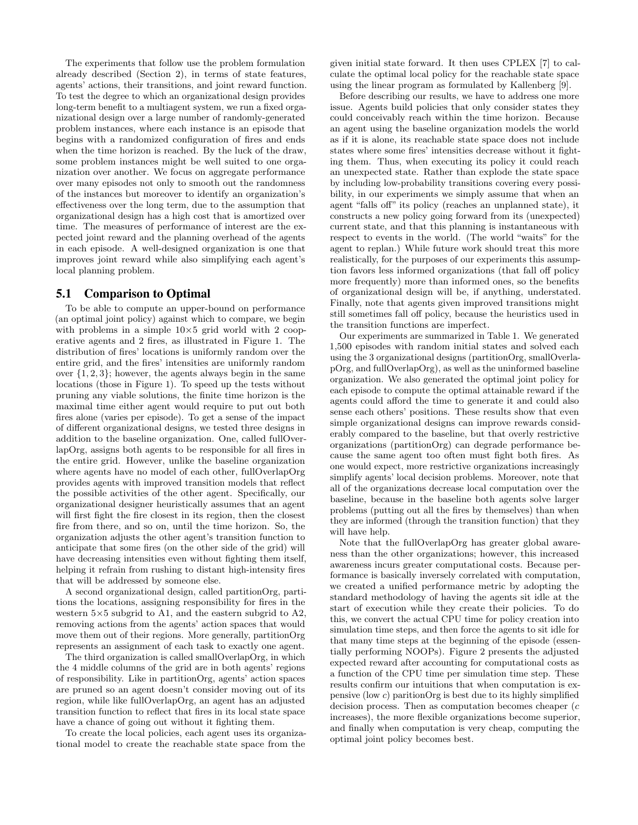The experiments that follow use the problem formulation already described (Section 2), in terms of state features, agents' actions, their transitions, and joint reward function. To test the degree to which an organizational design provides long-term benefit to a multiagent system, we run a fixed organizational design over a large number of randomly-generated problem instances, where each instance is an episode that begins with a randomized configuration of fires and ends when the time horizon is reached. By the luck of the draw, some problem instances might be well suited to one organization over another. We focus on aggregate performance over many episodes not only to smooth out the randomness of the instances but moreover to identify an organization's effectiveness over the long term, due to the assumption that organizational design has a high cost that is amortized over time. The measures of performance of interest are the expected joint reward and the planning overhead of the agents in each episode. A well-designed organization is one that improves joint reward while also simplifying each agent's local planning problem.

## 5.1 Comparison to Optimal

To be able to compute an upper-bound on performance (an optimal joint policy) against which to compare, we begin with problems in a simple  $10\times5$  grid world with 2 cooperative agents and 2 fires, as illustrated in Figure 1. The distribution of fires' locations is uniformly random over the entire grid, and the fires' intensities are uniformly random over  $\{1, 2, 3\}$ ; however, the agents always begin in the same locations (those in Figure 1). To speed up the tests without pruning any viable solutions, the finite time horizon is the maximal time either agent would require to put out both fires alone (varies per episode). To get a sense of the impact of different organizational designs, we tested three designs in addition to the baseline organization. One, called fullOverlapOrg, assigns both agents to be responsible for all fires in the entire grid. However, unlike the baseline organization where agents have no model of each other, fullOverlapOrg provides agents with improved transition models that reflect the possible activities of the other agent. Specifically, our organizational designer heuristically assumes that an agent will first fight the fire closest in its region, then the closest fire from there, and so on, until the time horizon. So, the organization adjusts the other agent's transition function to anticipate that some fires (on the other side of the grid) will have decreasing intensities even without fighting them itself, helping it refrain from rushing to distant high-intensity fires that will be addressed by someone else.

A second organizational design, called partitionOrg, partitions the locations, assigning responsibility for fires in the western 5×5 subgrid to A1, and the eastern subgrid to A2, removing actions from the agents' action spaces that would move them out of their regions. More generally, partitionOrg represents an assignment of each task to exactly one agent.

The third organization is called smallOverlapOrg, in which the 4 middle columns of the grid are in both agents' regions of responsibility. Like in partitionOrg, agents' action spaces are pruned so an agent doesn't consider moving out of its region, while like fullOverlapOrg, an agent has an adjusted transition function to reflect that fires in its local state space have a chance of going out without it fighting them.

To create the local policies, each agent uses its organizational model to create the reachable state space from the

given initial state forward. It then uses CPLEX [7] to calculate the optimal local policy for the reachable state space using the linear program as formulated by Kallenberg [9].

Before describing our results, we have to address one more issue. Agents build policies that only consider states they could conceivably reach within the time horizon. Because an agent using the baseline organization models the world as if it is alone, its reachable state space does not include states where some fires' intensities decrease without it fighting them. Thus, when executing its policy it could reach an unexpected state. Rather than explode the state space by including low-probability transitions covering every possibility, in our experiments we simply assume that when an agent "falls off" its policy (reaches an unplanned state), it constructs a new policy going forward from its (unexpected) current state, and that this planning is instantaneous with respect to events in the world. (The world "waits" for the agent to replan.) While future work should treat this more realistically, for the purposes of our experiments this assumption favors less informed organizations (that fall off policy more frequently) more than informed ones, so the benefits of organizational design will be, if anything, understated. Finally, note that agents given improved transitions might still sometimes fall off policy, because the heuristics used in the transition functions are imperfect.

Our experiments are summarized in Table 1. We generated 1,500 episodes with random initial states and solved each using the 3 organizational designs (partitionOrg, smallOverlapOrg, and fullOverlapOrg), as well as the uninformed baseline organization. We also generated the optimal joint policy for each episode to compute the optimal attainable reward if the agents could afford the time to generate it and could also sense each others' positions. These results show that even simple organizational designs can improve rewards considerably compared to the baseline, but that overly restrictive organizations (partitionOrg) can degrade performance because the same agent too often must fight both fires. As one would expect, more restrictive organizations increasingly simplify agents' local decision problems. Moreover, note that all of the organizations decrease local computation over the baseline, because in the baseline both agents solve larger problems (putting out all the fires by themselves) than when they are informed (through the transition function) that they will have help.

Note that the fullOverlapOrg has greater global awareness than the other organizations; however, this increased awareness incurs greater computational costs. Because performance is basically inversely correlated with computation, we created a unified performance metric by adopting the standard methodology of having the agents sit idle at the start of execution while they create their policies. To do this, we convert the actual CPU time for policy creation into simulation time steps, and then force the agents to sit idle for that many time steps at the beginning of the episode (essentially performing NOOPs). Figure 2 presents the adjusted expected reward after accounting for computational costs as a function of the CPU time per simulation time step. These results confirm our intuitions that when computation is expensive (low c) paritionOrg is best due to its highly simplified decision process. Then as computation becomes cheaper  $(c)$ increases), the more flexible organizations become superior, and finally when computation is very cheap, computing the optimal joint policy becomes best.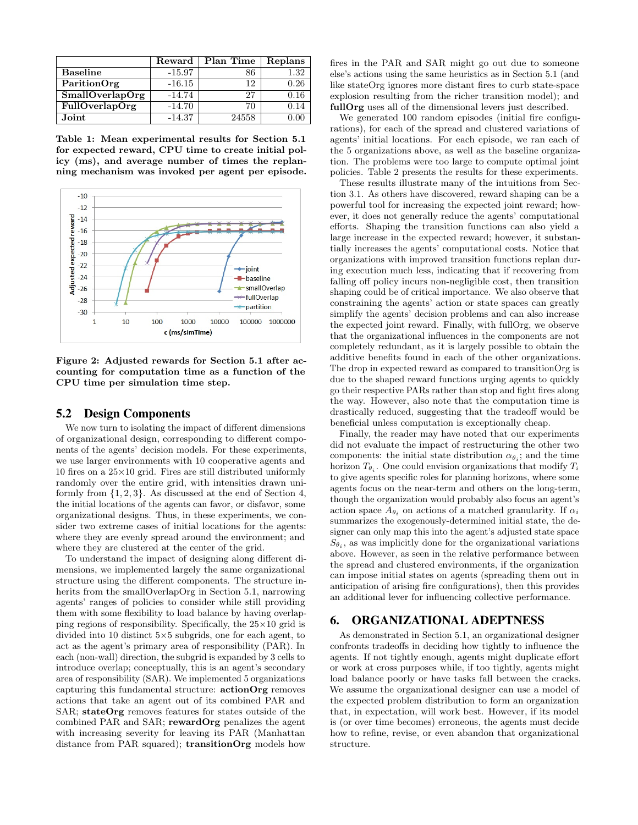|                        | Reward   | Plan Time | Replans |
|------------------------|----------|-----------|---------|
| <b>Baseline</b>        | $-15.97$ | 86        | 1.32    |
| ParitionOrg            | $-16.15$ | 12        | 0.26    |
| <b>SmallOverlapOrg</b> | $-14.74$ | 27        | 0.16    |
| <b>FullOverlapOrg</b>  | $-14.70$ | 70        | 0.14    |
| Joint                  | $-14.37$ | 24558     |         |

Table 1: Mean experimental results for Section 5.1 for expected reward, CPU time to create initial policy (ms), and average number of times the replanning mechanism was invoked per agent per episode.



Figure 2: Adjusted rewards for Section 5.1 after accounting for computation time as a function of the CPU time per simulation time step.

#### 5.2 Design Components

We now turn to isolating the impact of different dimensions of organizational design, corresponding to different components of the agents' decision models. For these experiments, we use larger environments with 10 cooperative agents and 10 fires on a  $25\times10$  grid. Fires are still distributed uniformly randomly over the entire grid, with intensities drawn uniformly from  $\{1, 2, 3\}$ . As discussed at the end of Section 4, the initial locations of the agents can favor, or disfavor, some organizational designs. Thus, in these experiments, we consider two extreme cases of initial locations for the agents: where they are evenly spread around the environment; and where they are clustered at the center of the grid.

To understand the impact of designing along different dimensions, we implemented largely the same organizational structure using the different components. The structure inherits from the smallOverlapOrg in Section 5.1, narrowing agents' ranges of policies to consider while still providing them with some flexibility to load balance by having overlapping regions of responsibility. Specifically, the  $25\times10$  grid is divided into 10 distinct  $5\times 5$  subgrids, one for each agent, to act as the agent's primary area of responsibility (PAR). In each (non-wall) direction, the subgrid is expanded by 3 cells to introduce overlap; conceptually, this is an agent's secondary area of responsibility (SAR). We implemented 5 organizations capturing this fundamental structure: actionOrg removes actions that take an agent out of its combined PAR and SAR; stateOrg removes features for states outside of the combined PAR and SAR; rewardOrg penalizes the agent with increasing severity for leaving its PAR (Manhattan distance from PAR squared); transitionOrg models how

fires in the PAR and SAR might go out due to someone else's actions using the same heuristics as in Section 5.1 (and like stateOrg ignores more distant fires to curb state-space explosion resulting from the richer transition model); and fullOrg uses all of the dimensional levers just described.

We generated 100 random episodes (initial fire configurations), for each of the spread and clustered variations of agents' initial locations. For each episode, we ran each of the 5 organizations above, as well as the baseline organization. The problems were too large to compute optimal joint policies. Table 2 presents the results for these experiments.

These results illustrate many of the intuitions from Section 3.1. As others have discovered, reward shaping can be a powerful tool for increasing the expected joint reward; however, it does not generally reduce the agents' computational efforts. Shaping the transition functions can also yield a large increase in the expected reward; however, it substantially increases the agents' computational costs. Notice that organizations with improved transition functions replan during execution much less, indicating that if recovering from falling off policy incurs non-negligible cost, then transition shaping could be of critical importance. We also observe that constraining the agents' action or state spaces can greatly simplify the agents' decision problems and can also increase the expected joint reward. Finally, with fullOrg, we observe that the organizational influences in the components are not completely redundant, as it is largely possible to obtain the additive benefits found in each of the other organizations. The drop in expected reward as compared to transitionOrg is due to the shaped reward functions urging agents to quickly go their respective PARs rather than stop and fight fires along the way. However, also note that the computation time is drastically reduced, suggesting that the tradeoff would be beneficial unless computation is exceptionally cheap.

Finally, the reader may have noted that our experiments did not evaluate the impact of restructuring the other two components: the initial state distribution  $\alpha_{\theta_i}$ ; and the time horizon  $T_{\theta_i}$ . One could envision organizations that modify  $T_i$ to give agents specific roles for planning horizons, where some agents focus on the near-term and others on the long-term, though the organization would probably also focus an agent's action space  $A_{\theta_i}$  on actions of a matched granularity. If  $\alpha_i$ summarizes the exogenously-determined initial state, the designer can only map this into the agent's adjusted state space  $S_{\theta_i}$ , as was implicitly done for the organizational variations above. However, as seen in the relative performance between the spread and clustered environments, if the organization can impose initial states on agents (spreading them out in anticipation of arising fire configurations), then this provides an additional lever for influencing collective performance.

#### 6. ORGANIZATIONAL ADEPTNESS

As demonstrated in Section 5.1, an organizational designer confronts tradeoffs in deciding how tightly to influence the agents. If not tightly enough, agents might duplicate effort or work at cross purposes while, if too tightly, agents might load balance poorly or have tasks fall between the cracks. We assume the organizational designer can use a model of the expected problem distribution to form an organization that, in expectation, will work best. However, if its model is (or over time becomes) erroneous, the agents must decide how to refine, revise, or even abandon that organizational structure.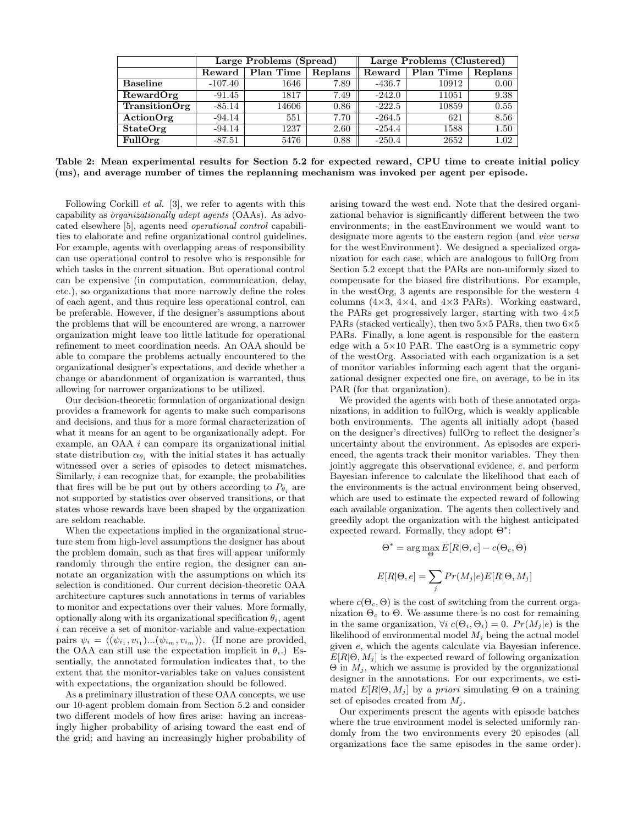|                      |           | Large Problems (Spread) |         | Large Problems (Clustered) |           |         |  |
|----------------------|-----------|-------------------------|---------|----------------------------|-----------|---------|--|
|                      | Reward    | Plan Time               | Replans | Reward                     | Plan Time | Replans |  |
| <b>Baseline</b>      | $-107.40$ | 1646                    | 7.89    | $-436.7$                   | 10912     | 0.00    |  |
| RewardOrg            | $-91.45$  | 1817                    | 7.49    | $-242.0$                   | 11051     | 9.38    |  |
| <b>TransitionOrg</b> | $-85.14$  | 14606                   | 0.86    | $-222.5$                   | 10859     | 0.55    |  |
| ActionOrg            | $-94.14$  | 551                     | 7.70    | $-264.5$                   | 621       | 8.56    |  |
| StateOrg             | $-94.14$  | 1237                    | 2.60    | $-254.4$                   | 1588      | 1.50    |  |
| FullOrg              | $-87.51$  | 5476                    | 0.88    | $-250.4$                   | 2652      | 1.02    |  |

Table 2: Mean experimental results for Section 5.2 for expected reward, CPU time to create initial policy (ms), and average number of times the replanning mechanism was invoked per agent per episode.

Following Corkill et al. [3], we refer to agents with this capability as organizationally adept agents (OAAs). As advocated elsewhere [5], agents need operational control capabilities to elaborate and refine organizational control guidelines. For example, agents with overlapping areas of responsibility can use operational control to resolve who is responsible for which tasks in the current situation. But operational control can be expensive (in computation, communication, delay, etc.), so organizations that more narrowly define the roles of each agent, and thus require less operational control, can be preferable. However, if the designer's assumptions about the problems that will be encountered are wrong, a narrower organization might leave too little latitude for operational refinement to meet coordination needs. An OAA should be able to compare the problems actually encountered to the organizational designer's expectations, and decide whether a change or abandonment of organization is warranted, thus allowing for narrower organizations to be utilized.

Our decision-theoretic formulation of organizational design provides a framework for agents to make such comparisons and decisions, and thus for a more formal characterization of what it means for an agent to be organizationally adept. For example, an OAA i can compare its organizational initial state distribution  $\alpha_{\theta_i}$  with the initial states it has actually witnessed over a series of episodes to detect mismatches. Similarly, i can recognize that, for example, the probabilities that fires will be be put out by others according to  $P_{\theta_i}$  are not supported by statistics over observed transitions, or that states whose rewards have been shaped by the organization are seldom reachable.

When the expectations implied in the organizational structure stem from high-level assumptions the designer has about the problem domain, such as that fires will appear uniformly randomly through the entire region, the designer can annotate an organization with the assumptions on which its selection is conditioned. Our current decision-theoretic OAA architecture captures such annotations in terms of variables to monitor and expectations over their values. More formally, optionally along with its organizational specification  $\theta_i$ , agent  $i$  can receive a set of monitor-variable and value-expectation pairs  $\psi_i = \langle (\psi_{i_1}, v_{i_1})...\psi_{i_m}, v_{i_m} \rangle \rangle$ . (If none are provided, the OAA can still use the expectation implicit in  $\theta_i$ .) Essentially, the annotated formulation indicates that, to the extent that the monitor-variables take on values consistent with expectations, the organization should be followed.

As a preliminary illustration of these OAA concepts, we use our 10-agent problem domain from Section 5.2 and consider two different models of how fires arise: having an increasingly higher probability of arising toward the east end of the grid; and having an increasingly higher probability of arising toward the west end. Note that the desired organizational behavior is significantly different between the two environments; in the eastEnvironment we would want to designate more agents to the eastern region (and vice versa for the westEnvironment). We designed a specialized organization for each case, which are analogous to fullOrg from Section 5.2 except that the PARs are non-uniformly sized to compensate for the biased fire distributions. For example, in the westOrg, 3 agents are responsible for the western 4 columns  $(4\times3, 4\times4, \text{ and } 4\times3 \text{ PARS})$ . Working eastward, the PARs get progressively larger, starting with two  $4\times5$ PARs (stacked vertically), then two  $5\times5$  PARs, then two  $6\times5$ PARs. Finally, a lone agent is responsible for the eastern edge with a  $5\times10$  PAR. The eastOrg is a symmetric copy of the westOrg. Associated with each organization is a set of monitor variables informing each agent that the organizational designer expected one fire, on average, to be in its PAR (for that organization).

We provided the agents with both of these annotated organizations, in addition to fullOrg, which is weakly applicable both environments. The agents all initially adopt (based on the designer's directives) fullOrg to reflect the designer's uncertainty about the environment. As episodes are experienced, the agents track their monitor variables. They then jointly aggregate this observational evidence, e, and perform Bayesian inference to calculate the likelihood that each of the environments is the actual environment being observed, which are used to estimate the expected reward of following each available organization. The agents then collectively and greedily adopt the organization with the highest anticipated expected reward. Formally, they adopt  $\Theta^*$ :

$$
\Theta^* = \arg\max_{\Theta} E[R|\Theta, e] - c(\Theta_c, \Theta)
$$

$$
E[R|\Theta, e] = \sum_j Pr(M_j|e)E[R|\Theta, M_j]
$$

where  $c(\Theta_c, \Theta)$  is the cost of switching from the current organization  $\Theta_c$  to  $\Theta$ . We assume there is no cost for remaining in the same organization,  $\forall i \ c(\Theta_i, \Theta_i) = 0$ .  $Pr(M_i | e)$  is the likelihood of environmental model  $M_i$  being the actual model given e, which the agents calculate via Bayesian inference.  $E[R|\Theta, M_i]$  is the expected reward of following organization  $\Theta$  in  $M_i$ , which we assume is provided by the organizational designer in the annotations. For our experiments, we estimated  $E[R|\Theta, M_i]$  by a priori simulating  $\Theta$  on a training set of episodes created from  $M_i$ .

Our experiments present the agents with episode batches where the true environment model is selected uniformly randomly from the two environments every 20 episodes (all organizations face the same episodes in the same order).